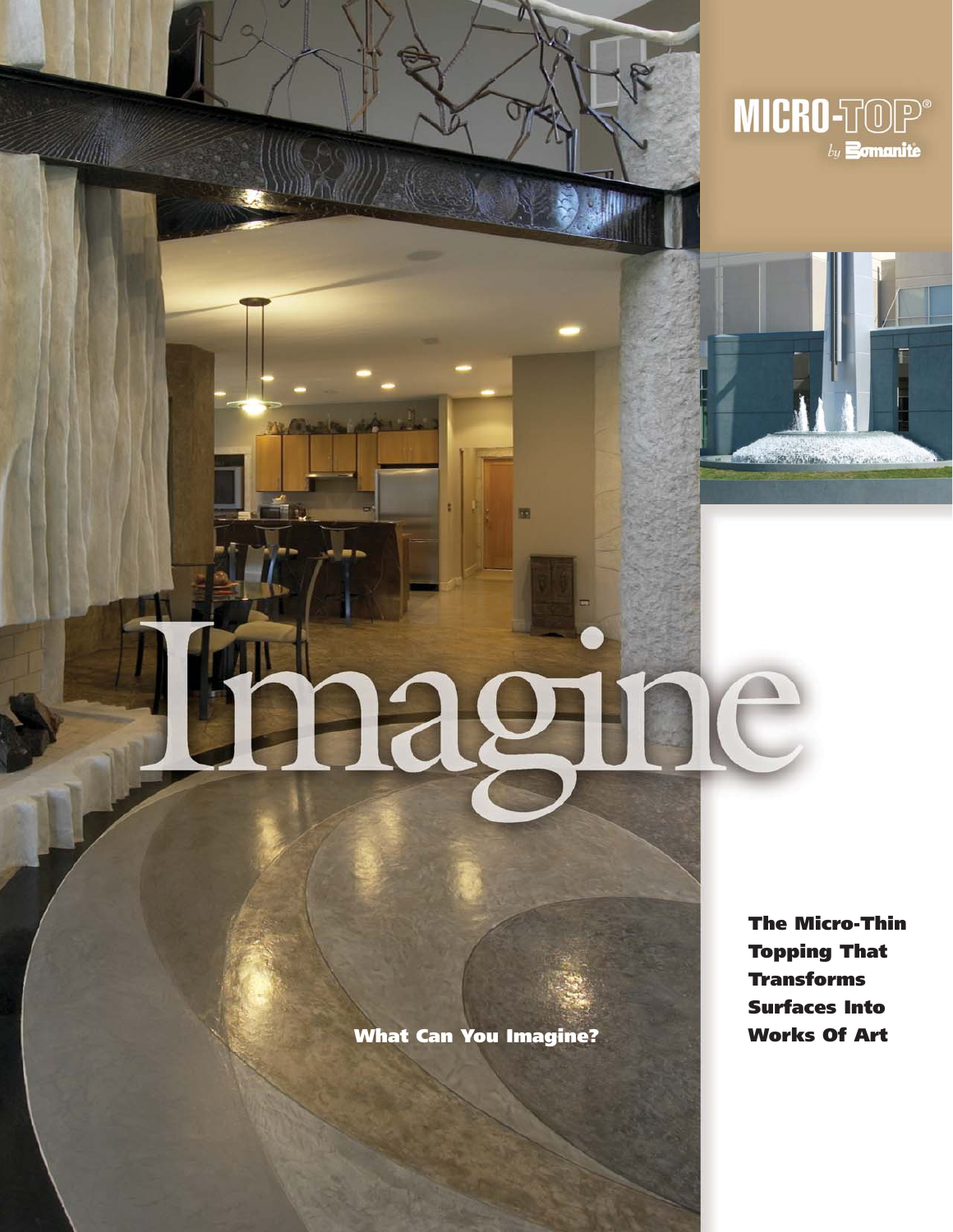

MARK STATISTICS.

# nagine

国

 $20 - 64$ 

ULUM

**What Can You Imagine?**

**The Micro-Thin Topping That Transforms Surfaces Into Works Of Art**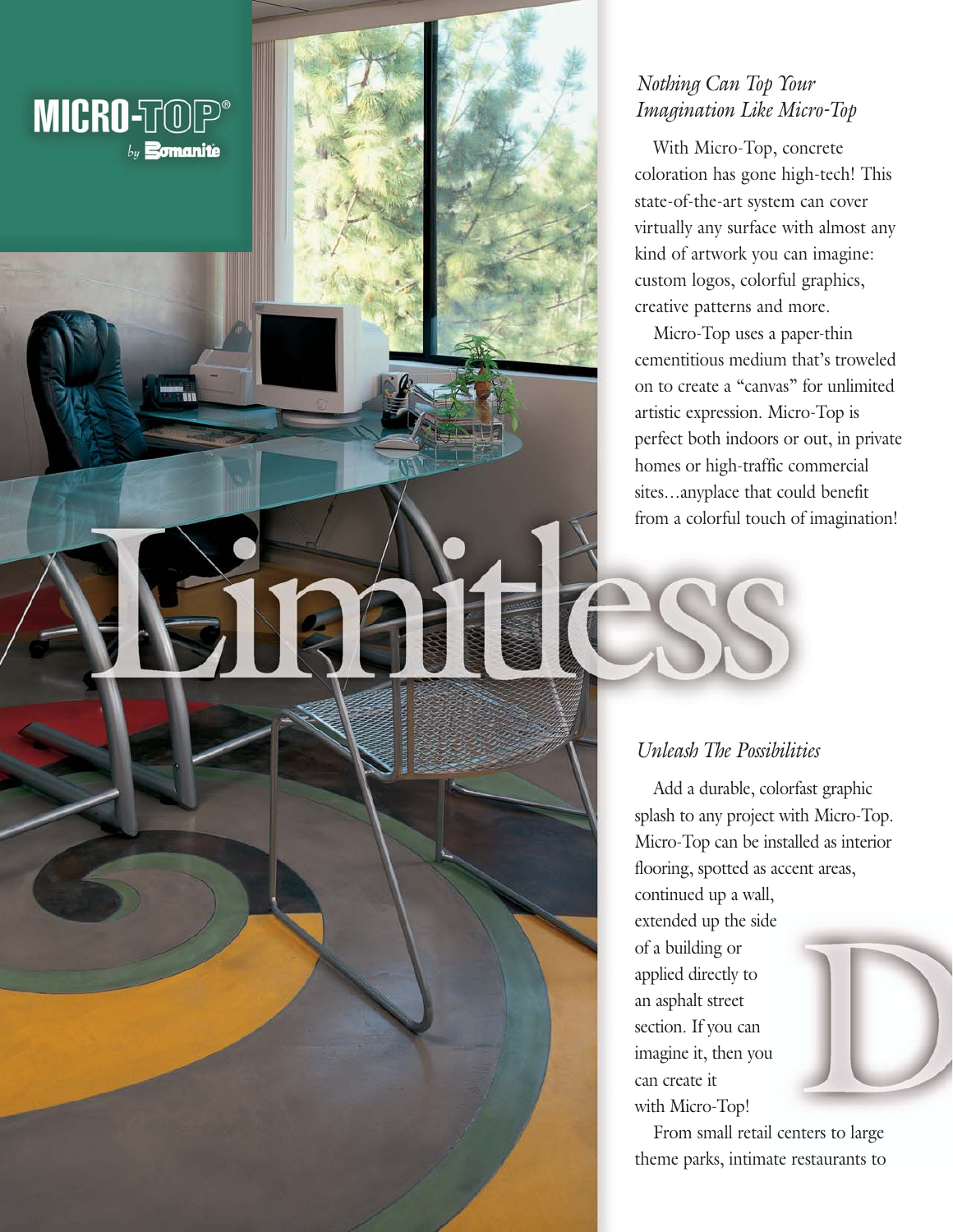

# *Nothing Can Top Your Imagination Like Micro-Top*

With Micro-Top, concrete coloration has gone high-tech! This state-of-the-art system can cover virtually any surface with almost any kind of artwork you can imagine: custom logos, colorful graphics, creative patterns and more.

Micro-Top uses a paper-thin cementitious medium that's troweled on to create a "canvas" for unlimited artistic expression. Micro-Top is perfect both indoors or out, in private homes or high-traffic commercial sites…anyplace that could benefit from a colorful touch of imagination!

# *Unleash The Possibilities*

**CONTRACTOR** 

K

Add a durable, colorfast graphic splash to any project with Micro-Top. Micro-Top can be installed as interior flooring, spotted as accent areas, continued up a wall, extended up the side of a building or applied directly to an asphalt street section. If you can imagine it, then you can create it with Micro-Top!

From small retail centers to large theme parks, intimate restaurants to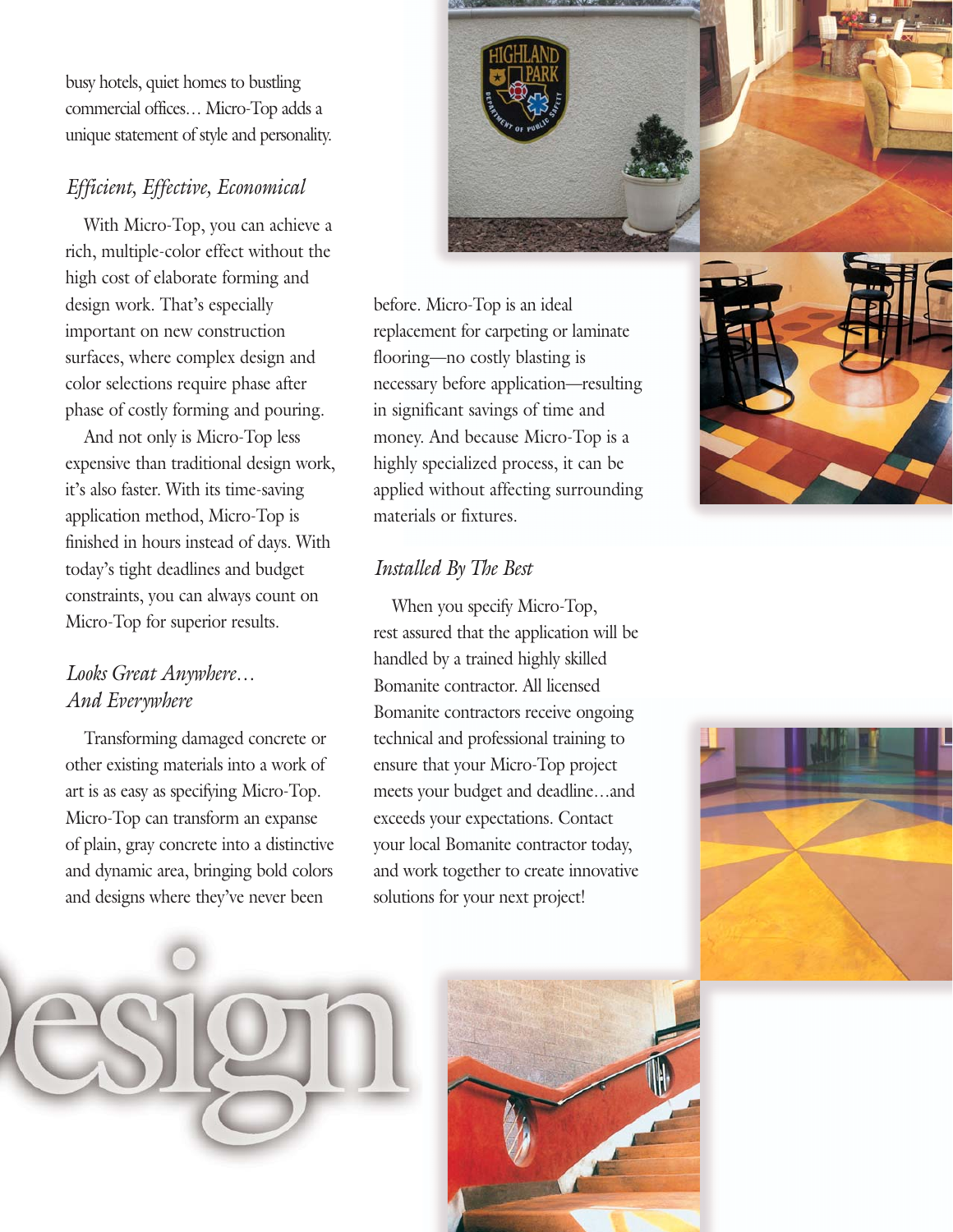busy hotels, quiet homes to bustling commercial offices… Micro-Top adds a unique statement of style and personality.

# *Efficient, Effective, Economical*

With Micro-Top, you can achieve a rich, multiple-color effect without the high cost of elaborate forming and design work. That's especially important on new construction surfaces, where complex design and color selections require phase after phase of costly forming and pouring.

And not only is Micro-Top less expensive than traditional design work, it's also faster. With its time-saving application method, Micro-Top is finished in hours instead of days. With today's tight deadlines and budget constraints, you can always count on Micro-Top for superior results.

# *Looks Great Anywhere… And Everywhere*

Transforming damaged concrete or other existing materials into a work of art is as easy as specifying Micro-Top. Micro-Top can transform an expanse of plain, gray concrete into a distinctive and dynamic area, bringing bold colors and designs where they've never been



before. Micro-Top is an ideal replacement for carpeting or laminate flooring—no costly blasting is necessary before application—resulting in significant savings of time and money. And because Micro-Top is a highly specialized process, it can be applied without affecting surrounding materials or fixtures.

# *Installed By The Best*

When you specify Micro-Top, rest assured that the application will be handled by a trained highly skilled Bomanite contractor. All licensed Bomanite contractors receive ongoing technical and professional training to ensure that your Micro-Top project meets your budget and deadline…and exceeds your expectations. Contact your local Bomanite contractor today, and work together to create innovative solutions for your next project!